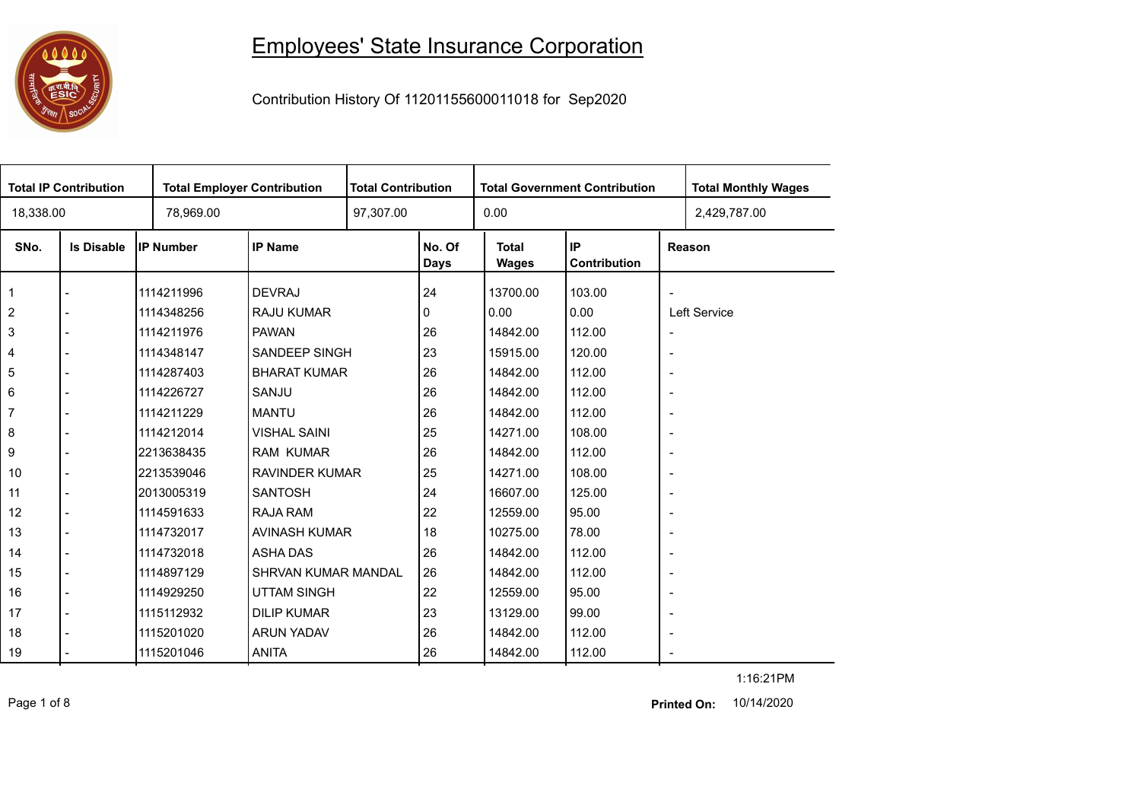## 

## Employees' State Insurance Corporation

Contribution History Of 11201155600011018 for Sep2020

| <b>Total IP Contribution</b> |                   |                  | <b>Total Employer Contribution</b> |  | <b>Total Contribution</b><br><b>Total Government Contribution</b> |                              |                           |                          | <b>Total Monthly Wages</b> |
|------------------------------|-------------------|------------------|------------------------------------|--|-------------------------------------------------------------------|------------------------------|---------------------------|--------------------------|----------------------------|
| 18,338.00                    |                   | 78,969.00        |                                    |  |                                                                   | 0.00                         |                           |                          | 2,429,787.00               |
| SNo.                         | <b>Is Disable</b> | <b>IP Number</b> | <b>IP Name</b>                     |  | No. Of<br><b>Days</b>                                             | <b>Total</b><br><b>Wages</b> | <b>IP</b><br>Contribution |                          | Reason                     |
| $\overline{1}$               |                   | 1114211996       | <b>DEVRAJ</b>                      |  | 24                                                                | 13700.00                     | 103.00                    | $\overline{\phantom{a}}$ |                            |
| $\overline{2}$               |                   | 1114348256       | <b>RAJU KUMAR</b>                  |  | 0                                                                 | 0.00                         | 0.00                      |                          | Left Service               |
| $\mathsf 3$                  |                   | 1114211976       | <b>PAWAN</b>                       |  | 26                                                                | 14842.00                     | 112.00                    | $\overline{\phantom{a}}$ |                            |
| $\overline{\mathbf{4}}$      |                   | 1114348147       | <b>SANDEEP SINGH</b>               |  | 23                                                                | 15915.00                     | 120.00                    | $\overline{\phantom{a}}$ |                            |
| 5                            |                   | 1114287403       | <b>BHARAT KUMAR</b>                |  | 26                                                                | 14842.00                     | 112.00                    | $\overline{\phantom{a}}$ |                            |
| $\,6\,$                      |                   | 1114226727       | SANJU                              |  | 26                                                                | 14842.00                     | 112.00                    | $\blacksquare$           |                            |
| $\overline{7}$               |                   | 1114211229       | <b>MANTU</b>                       |  | 26                                                                | 14842.00                     | 112.00                    | $\overline{\phantom{a}}$ |                            |
| 8                            |                   | 1114212014       | <b>VISHAL SAINI</b>                |  | 25                                                                | 14271.00                     | 108.00                    | $\overline{\phantom{a}}$ |                            |
| 9                            |                   | 2213638435       | <b>RAM KUMAR</b>                   |  | 26                                                                | 14842.00                     | 112.00                    | $\overline{\phantom{a}}$ |                            |
| 10                           |                   | 2213539046       | <b>RAVINDER KUMAR</b>              |  | 25                                                                | 14271.00                     | 108.00                    | $\blacksquare$           |                            |
| 11                           |                   | 2013005319       | <b>SANTOSH</b>                     |  | 24                                                                | 16607.00                     | 125.00                    | $\overline{\phantom{a}}$ |                            |
| 12                           |                   | 1114591633       | RAJA RAM                           |  | 22                                                                | 12559.00                     | 95.00                     | $\blacksquare$           |                            |
| 13                           |                   | 1114732017       | AVINASH KUMAR                      |  | 18                                                                | 10275.00                     | 78.00                     | $\overline{\phantom{a}}$ |                            |
| 14                           |                   | 1114732018       | <b>ASHA DAS</b>                    |  | 26                                                                | 14842.00                     | 112.00                    | $\overline{\phantom{a}}$ |                            |
| 15                           |                   | 1114897129       | <b>SHRVAN KUMAR MANDAL</b>         |  | 26                                                                | 14842.00                     | 112.00                    | $\overline{\phantom{a}}$ |                            |
| 16                           |                   | 1114929250       | <b>UTTAM SINGH</b>                 |  | 22                                                                | 12559.00                     | 95.00                     | $\overline{\phantom{a}}$ |                            |
| 17                           |                   | 1115112932       | <b>DILIP KUMAR</b>                 |  | 23                                                                | 13129.00                     | 99.00                     | $\overline{\phantom{a}}$ |                            |
| 18                           |                   | 1115201020       | <b>ARUN YADAV</b>                  |  | 26                                                                | 14842.00                     | 112.00                    | $\overline{\phantom{a}}$ |                            |
| 19                           |                   | 1115201046       | <b>ANITA</b>                       |  | 26                                                                | 14842.00                     | 112.00                    | $\blacksquare$           |                            |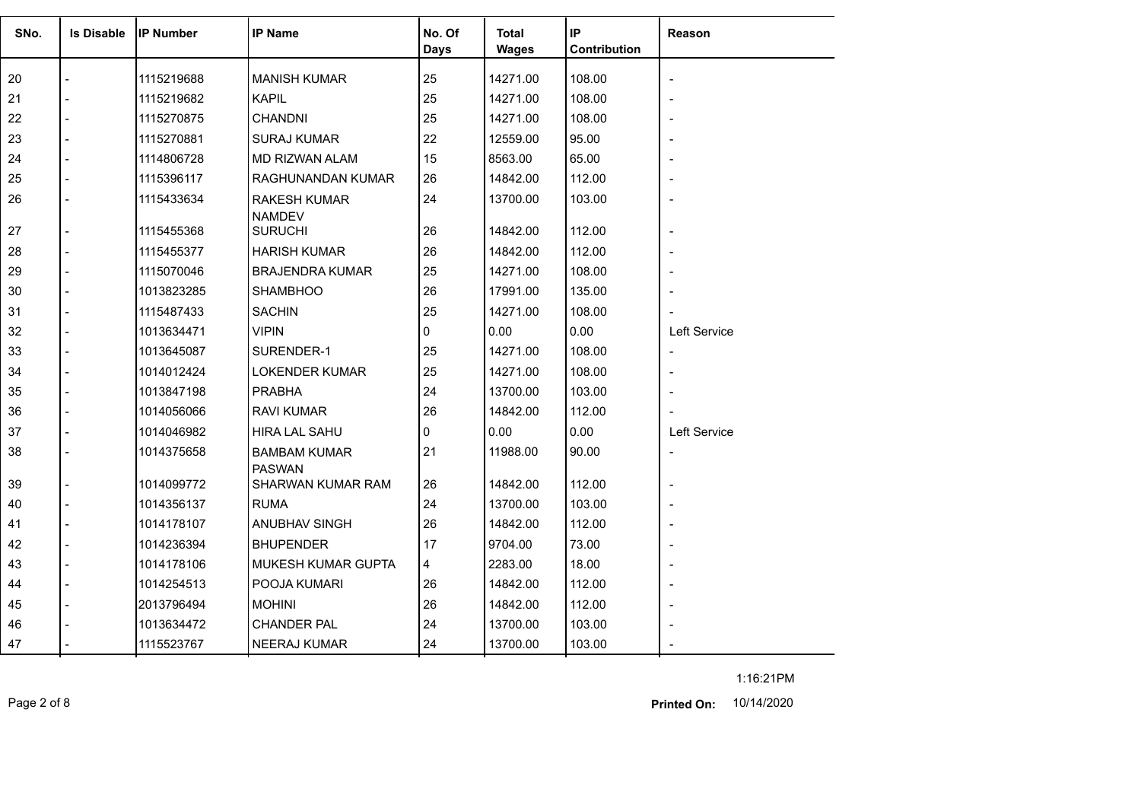| SNo. | <b>Is Disable</b> | <b>IP Number</b> | <b>IP Name</b>                       | No. Of<br>Days | <b>Total</b><br><b>Wages</b> | IP<br>Contribution | <b>Reason</b>            |
|------|-------------------|------------------|--------------------------------------|----------------|------------------------------|--------------------|--------------------------|
| 20   |                   | 1115219688       | <b>MANISH KUMAR</b>                  | 25             | 14271.00                     | 108.00             |                          |
| 21   |                   | 1115219682       | <b>KAPIL</b>                         | 25             | 14271.00                     | 108.00             |                          |
| 22   |                   | 1115270875       | <b>CHANDNI</b>                       | 25             | 14271.00                     | 108.00             |                          |
| 23   |                   | 1115270881       | <b>SURAJ KUMAR</b>                   | 22             | 12559.00                     | 95.00              |                          |
| 24   |                   | 1114806728       | MD RIZWAN ALAM                       | 15             | 8563.00                      | 65.00              |                          |
| 25   |                   | 1115396117       | RAGHUNANDAN KUMAR                    | 26             | 14842.00                     | 112.00             |                          |
| 26   |                   | 1115433634       | <b>RAKESH KUMAR</b><br><b>NAMDEV</b> | 24             | 13700.00                     | 103.00             |                          |
| 27   |                   | 1115455368       | <b>SURUCHI</b>                       | 26             | 14842.00                     | 112.00             | $\overline{\phantom{a}}$ |
| 28   |                   | 1115455377       | <b>HARISH KUMAR</b>                  | 26             | 14842.00                     | 112.00             |                          |
| 29   |                   | 1115070046       | <b>BRAJENDRA KUMAR</b>               | 25             | 14271.00                     | 108.00             |                          |
| 30   |                   | 1013823285       | <b>SHAMBHOO</b>                      | 26             | 17991.00                     | 135.00             |                          |
| 31   |                   | 1115487433       | <b>SACHIN</b>                        | 25             | 14271.00                     | 108.00             |                          |
| 32   |                   | 1013634471       | <b>VIPIN</b>                         | 0              | 0.00                         | 0.00               | Left Service             |
| 33   |                   | 1013645087       | SURENDER-1                           | 25             | 14271.00                     | 108.00             | $\overline{\phantom{a}}$ |
| 34   |                   | 1014012424       | <b>LOKENDER KUMAR</b>                | 25             | 14271.00                     | 108.00             | $\overline{\phantom{a}}$ |
| 35   |                   | 1013847198       | <b>PRABHA</b>                        | 24             | 13700.00                     | 103.00             |                          |
| 36   |                   | 1014056066       | <b>RAVI KUMAR</b>                    | 26             | 14842.00                     | 112.00             |                          |
| 37   |                   | 1014046982       | <b>HIRA LAL SAHU</b>                 | 0              | 0.00                         | 0.00               | <b>Left Service</b>      |
| 38   |                   | 1014375658       | <b>BAMBAM KUMAR</b><br><b>PASWAN</b> | 21             | 11988.00                     | 90.00              | $\overline{\phantom{a}}$ |
| 39   |                   | 1014099772       | SHARWAN KUMAR RAM                    | 26             | 14842.00                     | 112.00             | $\overline{\phantom{a}}$ |
| 40   |                   | 1014356137       | <b>RUMA</b>                          | 24             | 13700.00                     | 103.00             |                          |
| 41   |                   | 1014178107       | ANUBHAV SINGH                        | 26             | 14842.00                     | 112.00             |                          |
| 42   |                   | 1014236394       | <b>BHUPENDER</b>                     | 17             | 9704.00                      | 73.00              | $\overline{\phantom{a}}$ |
| 43   |                   | 1014178106       | MUKESH KUMAR GUPTA                   | 4              | 2283.00                      | 18.00              |                          |
| 44   |                   | 1014254513       | POOJA KUMARI                         | 26             | 14842.00                     | 112.00             |                          |
| 45   |                   | 2013796494       | <b>MOHINI</b>                        | 26             | 14842.00                     | 112.00             |                          |
| 46   |                   | 1013634472       | <b>CHANDER PAL</b>                   | 24             | 13700.00                     | 103.00             |                          |
| 47   |                   | 1115523767       | <b>NEERAJ KUMAR</b>                  | 24             | 13700.00                     | 103.00             |                          |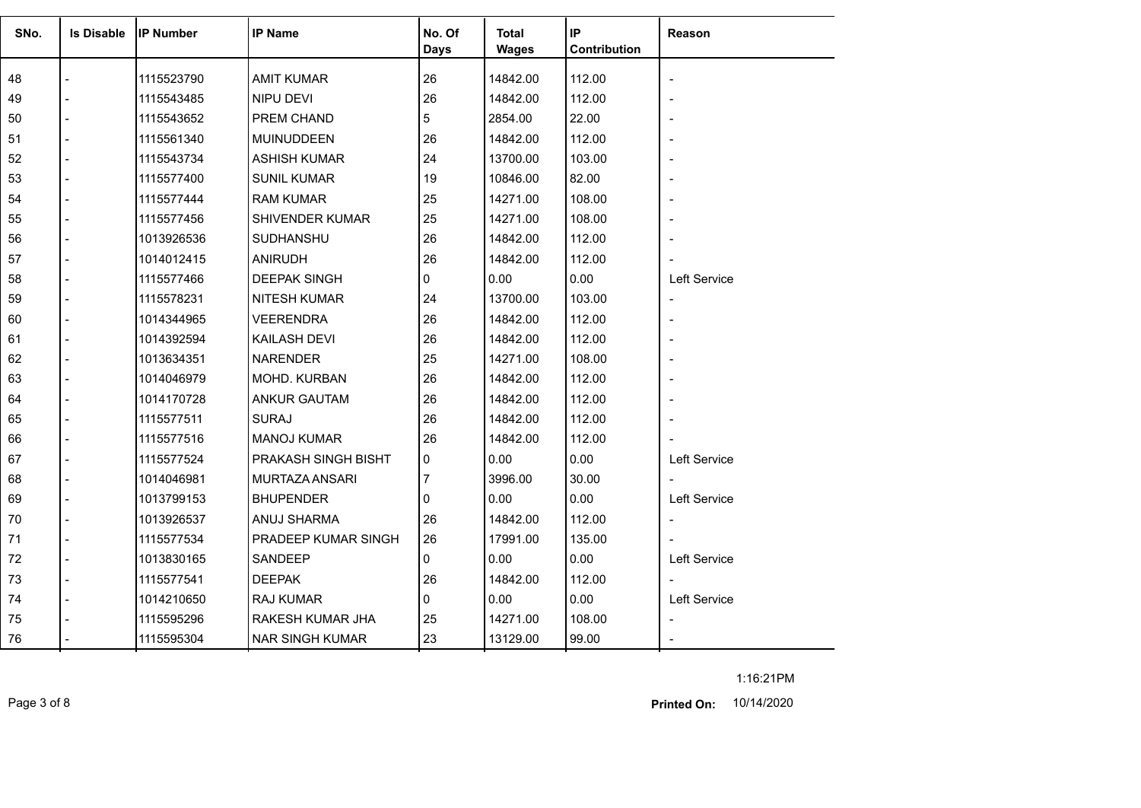| SNo. | <b>Is Disable</b> | <b>IP Number</b> | <b>IP Name</b>         | No. Of | <b>Total</b> | IP           | Reason         |
|------|-------------------|------------------|------------------------|--------|--------------|--------------|----------------|
|      |                   |                  |                        | Days   | <b>Wages</b> | Contribution |                |
| 48   |                   | 1115523790       | <b>AMIT KUMAR</b>      | 26     | 14842.00     | 112.00       |                |
| 49   |                   | 1115543485       | NIPU DEVI              | 26     | 14842.00     | 112.00       |                |
| 50   |                   | 1115543652       | PREM CHAND             | 5      | 2854.00      | 22.00        |                |
| 51   |                   | 1115561340       | <b>MUINUDDEEN</b>      | 26     | 14842.00     | 112.00       |                |
| 52   |                   | 1115543734       | <b>ASHISH KUMAR</b>    | 24     | 13700.00     | 103.00       |                |
| 53   |                   | 1115577400       | <b>SUNIL KUMAR</b>     | 19     | 10846.00     | 82.00        |                |
| 54   |                   | 1115577444       | RAM KUMAR              | 25     | 14271.00     | 108.00       |                |
| 55   |                   | 1115577456       | SHIVENDER KUMAR        | 25     | 14271.00     | 108.00       |                |
| 56   |                   | 1013926536       | SUDHANSHU              | 26     | 14842.00     | 112.00       |                |
| 57   |                   | 1014012415       | ANIRUDH                | 26     | 14842.00     | 112.00       |                |
| 58   |                   | 1115577466       | <b>DEEPAK SINGH</b>    | 0      | 0.00         | 0.00         | Left Service   |
| 59   |                   | 1115578231       | <b>NITESH KUMAR</b>    | 24     | 13700.00     | 103.00       | $\blacksquare$ |
| 60   |                   | 1014344965       | <b>VEERENDRA</b>       | 26     | 14842.00     | 112.00       |                |
| 61   |                   | 1014392594       | KAILASH DEVI           | 26     | 14842.00     | 112.00       |                |
| 62   |                   | 1013634351       | <b>NARENDER</b>        | 25     | 14271.00     | 108.00       |                |
| 63   |                   | 1014046979       | MOHD. KURBAN           | 26     | 14842.00     | 112.00       |                |
| 64   |                   | 1014170728       | ANKUR GAUTAM           | 26     | 14842.00     | 112.00       |                |
| 65   |                   | 1115577511       | <b>SURAJ</b>           | 26     | 14842.00     | 112.00       |                |
| 66   |                   | 1115577516       | <b>MANOJ KUMAR</b>     | 26     | 14842.00     | 112.00       |                |
| 67   |                   | 1115577524       | PRAKASH SINGH BISHT    | 0      | 0.00         | 0.00         | Left Service   |
| 68   |                   | 1014046981       | MURTAZA ANSARI         | 7      | 3996.00      | 30.00        |                |
| 69   |                   | 1013799153       | <b>BHUPENDER</b>       | 0      | 0.00         | 0.00         | Left Service   |
| 70   |                   | 1013926537       | ANUJ SHARMA            | 26     | 14842.00     | 112.00       |                |
| 71   |                   | 1115577534       | PRADEEP KUMAR SINGH    | 26     | 17991.00     | 135.00       |                |
| 72   |                   | 1013830165       | SANDEEP                | 0      | 0.00         | 0.00         | Left Service   |
| 73   |                   | 1115577541       | <b>DEEPAK</b>          | 26     | 14842.00     | 112.00       |                |
| 74   |                   | 1014210650       | RAJ KUMAR              | 0      | 0.00         | 0.00         | Left Service   |
| 75   |                   | 1115595296       | RAKESH KUMAR JHA       | 25     | 14271.00     | 108.00       |                |
| 76   |                   | 1115595304       | <b>NAR SINGH KUMAR</b> | 23     | 13129.00     | 99.00        |                |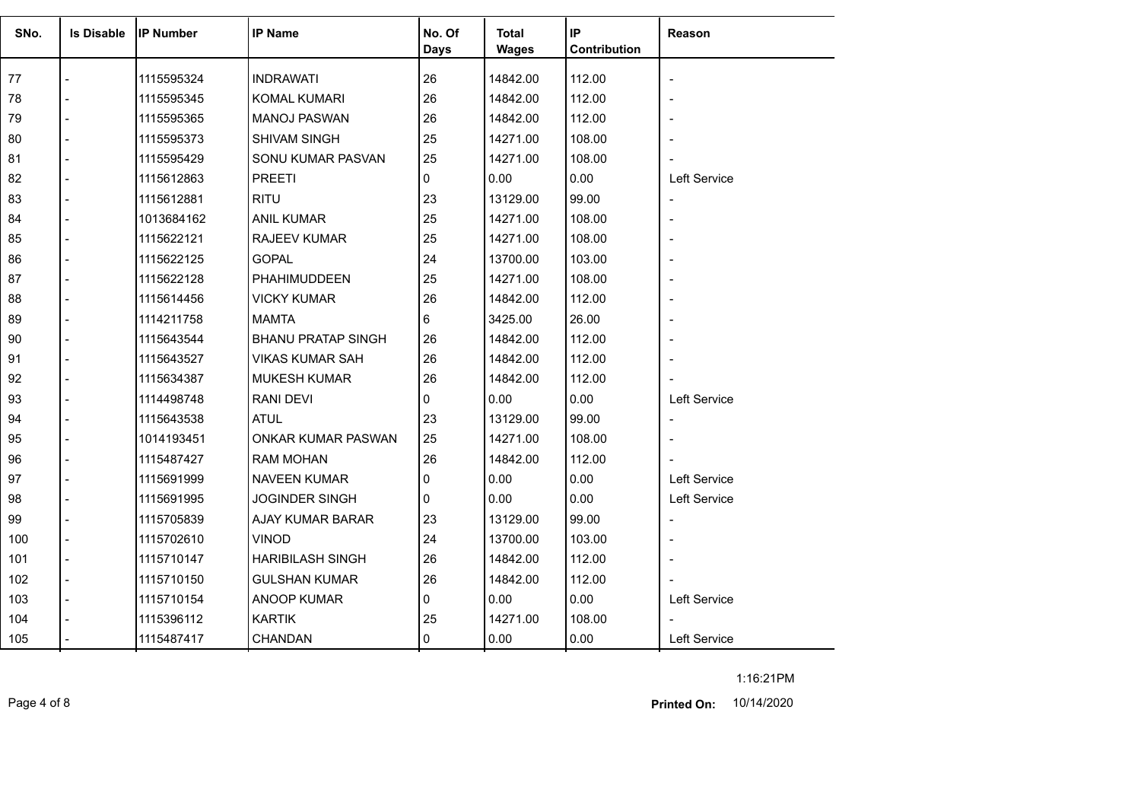| SNo. | <b>Is Disable</b> | <b>IP Number</b> | <b>IP Name</b>            | No. Of      | <b>Total</b> | IP           | Reason                   |
|------|-------------------|------------------|---------------------------|-------------|--------------|--------------|--------------------------|
|      |                   |                  |                           | <b>Days</b> | <b>Wages</b> | Contribution |                          |
| 77   |                   | 1115595324       | <b>INDRAWATI</b>          | 26          | 14842.00     | 112.00       |                          |
| 78   |                   | 1115595345       | KOMAL KUMARI              | 26          | 14842.00     | 112.00       |                          |
| 79   |                   | 1115595365       | <b>MANOJ PASWAN</b>       | 26          | 14842.00     | 112.00       |                          |
| 80   |                   | 1115595373       | <b>SHIVAM SINGH</b>       | 25          | 14271.00     | 108.00       |                          |
| 81   |                   | 1115595429       | SONU KUMAR PASVAN         | 25          | 14271.00     | 108.00       |                          |
| 82   |                   | 1115612863       | <b>PREETI</b>             | 0           | 0.00         | 0.00         | Left Service             |
| 83   |                   | 1115612881       | <b>RITU</b>               | 23          | 13129.00     | 99.00        | $\overline{\phantom{a}}$ |
| 84   |                   | 1013684162       | <b>ANIL KUMAR</b>         | 25          | 14271.00     | 108.00       |                          |
| 85   |                   | 1115622121       | <b>RAJEEV KUMAR</b>       | 25          | 14271.00     | 108.00       |                          |
| 86   |                   | 1115622125       | <b>GOPAL</b>              | 24          | 13700.00     | 103.00       |                          |
| 87   |                   | 1115622128       | PHAHIMUDDEEN              | 25          | 14271.00     | 108.00       |                          |
| 88   |                   | 1115614456       | <b>VICKY KUMAR</b>        | 26          | 14842.00     | 112.00       |                          |
| 89   |                   | 1114211758       | <b>MAMTA</b>              | 6           | 3425.00      | 26.00        |                          |
| 90   |                   | 1115643544       | <b>BHANU PRATAP SINGH</b> | 26          | 14842.00     | 112.00       |                          |
| 91   |                   | 1115643527       | VIKAS KUMAR SAH           | 26          | 14842.00     | 112.00       |                          |
| 92   |                   | 1115634387       | <b>MUKESH KUMAR</b>       | 26          | 14842.00     | 112.00       |                          |
| 93   |                   | 1114498748       | <b>RANI DEVI</b>          | 0           | 0.00         | 0.00         | Left Service             |
| 94   |                   | 1115643538       | <b>ATUL</b>               | 23          | 13129.00     | 99.00        |                          |
| 95   |                   | 1014193451       | ONKAR KUMAR PASWAN        | 25          | 14271.00     | 108.00       |                          |
| 96   |                   | 1115487427       | <b>RAM MOHAN</b>          | 26          | 14842.00     | 112.00       |                          |
| 97   |                   | 1115691999       | NAVEEN KUMAR              | 0           | 0.00         | 0.00         | Left Service             |
| 98   |                   | 1115691995       | <b>JOGINDER SINGH</b>     | 0           | 0.00         | 0.00         | Left Service             |
| 99   |                   | 1115705839       | AJAY KUMAR BARAR          | 23          | 13129.00     | 99.00        | $\overline{\phantom{a}}$ |
| 100  |                   | 1115702610       | <b>VINOD</b>              | 24          | 13700.00     | 103.00       |                          |
| 101  |                   | 1115710147       | <b>HARIBILASH SINGH</b>   | 26          | 14842.00     | 112.00       |                          |
| 102  |                   | 1115710150       | <b>GULSHAN KUMAR</b>      | 26          | 14842.00     | 112.00       |                          |
| 103  |                   | 1115710154       | ANOOP KUMAR               | 0           | 0.00         | 0.00         | Left Service             |
| 104  |                   | 1115396112       | <b>KARTIK</b>             | 25          | 14271.00     | 108.00       |                          |
| 105  |                   | 1115487417       | CHANDAN                   | 0           | 0.00         | 0.00         | Left Service             |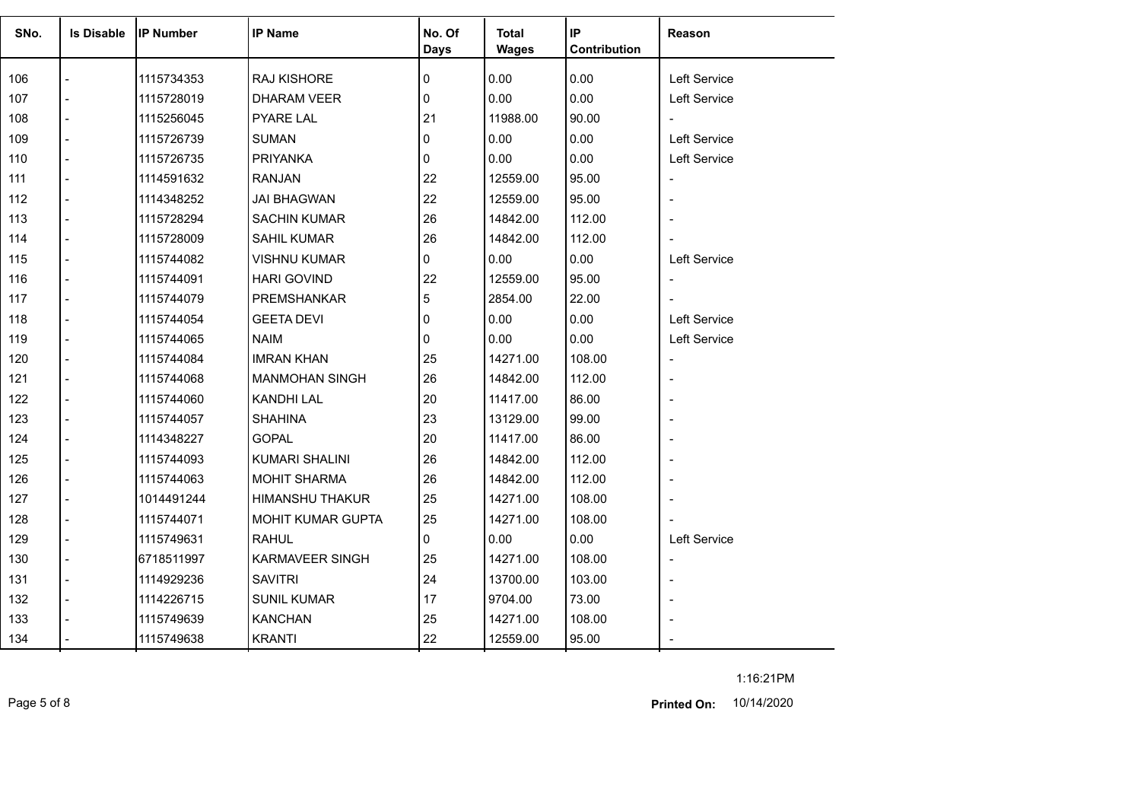| SNo. | <b>Is Disable</b> | <b>IP Number</b> | <b>IP Name</b>         | No. Of<br><b>Days</b> | <b>Total</b><br><b>Wages</b> | IP<br>Contribution | Reason                   |
|------|-------------------|------------------|------------------------|-----------------------|------------------------------|--------------------|--------------------------|
| 106  |                   | 1115734353       | RAJ KISHORE            | $\mathbf 0$           | 0.00                         | 0.00               | Left Service             |
| 107  |                   | 1115728019       | <b>DHARAM VEER</b>     | $\mathbf{0}$          | 0.00                         | 0.00               | Left Service             |
| 108  |                   | 1115256045       | <b>PYARE LAL</b>       | 21                    | 11988.00                     | 90.00              | $\overline{\phantom{a}}$ |
| 109  |                   | 1115726739       | <b>SUMAN</b>           | $\mathbf{0}$          | 0.00                         | 0.00               | <b>Left Service</b>      |
| 110  |                   | 1115726735       | <b>PRIYANKA</b>        | 0                     | 0.00                         | 0.00               | Left Service             |
| 111  |                   | 1114591632       | <b>RANJAN</b>          | 22                    | 12559.00                     | 95.00              | $\overline{\phantom{a}}$ |
| 112  |                   | 1114348252       | <b>JAI BHAGWAN</b>     | 22                    | 12559.00                     | 95.00              | $\overline{\phantom{a}}$ |
| 113  | $\overline{a}$    | 1115728294       | <b>SACHIN KUMAR</b>    | 26                    | 14842.00                     | 112.00             |                          |
| 114  | $\overline{a}$    | 1115728009       | SAHIL KUMAR            | 26                    | 14842.00                     | 112.00             | $\blacksquare$           |
| 115  |                   | 1115744082       | <b>VISHNU KUMAR</b>    | 0                     | 0.00                         | 0.00               | Left Service             |
| 116  |                   | 1115744091       | <b>HARI GOVIND</b>     | 22                    | 12559.00                     | 95.00              | $\overline{\phantom{a}}$ |
| 117  |                   | 1115744079       | PREMSHANKAR            | 5                     | 2854.00                      | 22.00              |                          |
| 118  |                   | 1115744054       | GEETA DEVI             | 0                     | 0.00                         | 0.00               | Left Service             |
| 119  |                   | 1115744065       | <b>NAIM</b>            | 0                     | 0.00                         | 0.00               | Left Service             |
| 120  |                   | 1115744084       | <b>IMRAN KHAN</b>      | 25                    | 14271.00                     | 108.00             | $\overline{\phantom{a}}$ |
| 121  |                   | 1115744068       | <b>MANMOHAN SINGH</b>  | 26                    | 14842.00                     | 112.00             | $\blacksquare$           |
| 122  |                   | 1115744060       | <b>KANDHI LAL</b>      | 20                    | 11417.00                     | 86.00              |                          |
| 123  | $\overline{a}$    | 1115744057       | <b>SHAHINA</b>         | 23                    | 13129.00                     | 99.00              | $\overline{a}$           |
| 124  |                   | 1114348227       | <b>GOPAL</b>           | 20                    | 11417.00                     | 86.00              |                          |
| 125  |                   | 1115744093       | <b>KUMARI SHALINI</b>  | 26                    | 14842.00                     | 112.00             | $\blacksquare$           |
| 126  |                   | 1115744063       | <b>MOHIT SHARMA</b>    | 26                    | 14842.00                     | 112.00             |                          |
|      |                   |                  |                        |                       |                              |                    |                          |
| 127  |                   | 1014491244       | <b>HIMANSHU THAKUR</b> | 25                    | 14271.00                     | 108.00             |                          |
| 128  |                   | 1115744071       | MOHIT KUMAR GUPTA      | 25                    | 14271.00                     | 108.00             |                          |
| 129  |                   | 1115749631       | <b>RAHUL</b>           | 0                     | 0.00                         | 0.00               | Left Service             |
| 130  | $\overline{a}$    | 6718511997       | KARMAVEER SINGH        | 25                    | 14271.00                     | 108.00             | $\overline{\phantom{a}}$ |
| 131  | $\blacksquare$    | 1114929236       | <b>SAVITRI</b>         | 24                    | 13700.00                     | 103.00             | $\overline{\phantom{m}}$ |
| 132  |                   | 1114226715       | <b>SUNIL KUMAR</b>     | 17                    | 9704.00                      | 73.00              |                          |
| 133  |                   | 1115749639       | <b>KANCHAN</b>         | 25                    | 14271.00                     | 108.00             |                          |
| 134  |                   | 1115749638       | <b>KRANTI</b>          | 22                    | 12559.00                     | 95.00              |                          |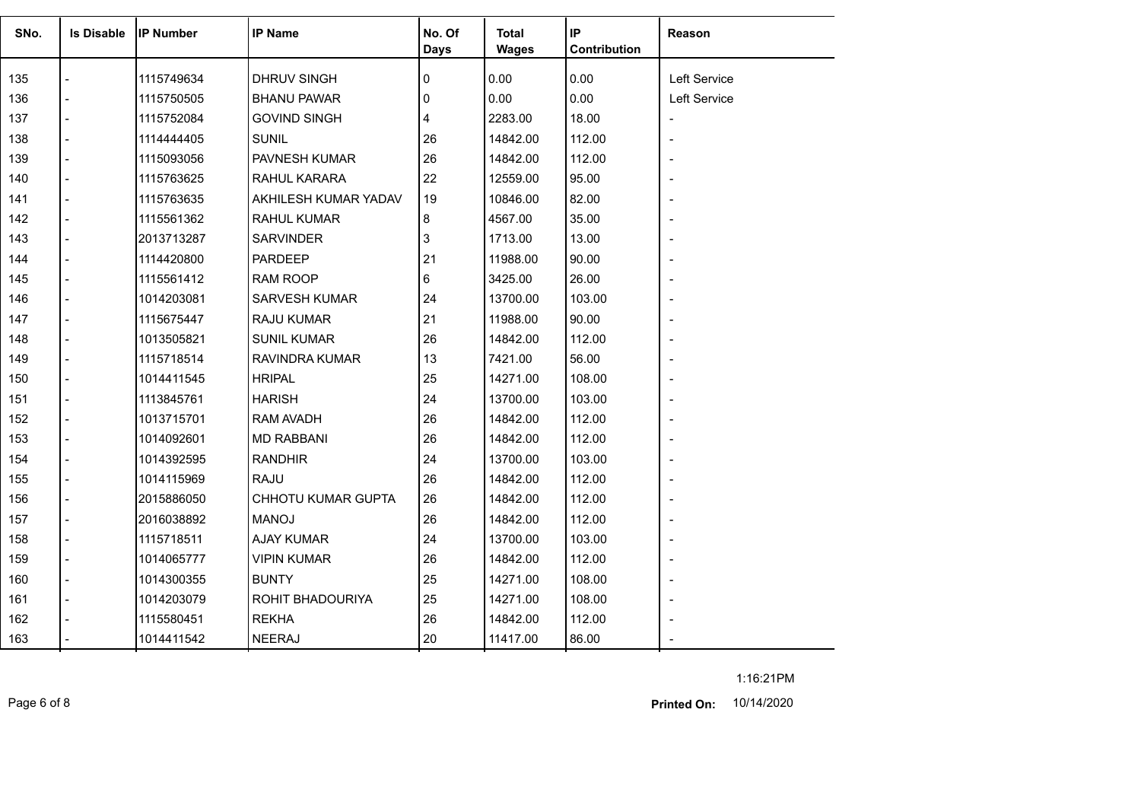| SNo.       | <b>Is Disable</b> | <b>IP Number</b> | <b>IP Name</b>       | No. Of<br><b>Days</b> | <b>Total</b><br><b>Wages</b> | IP<br>Contribution | Reason                   |
|------------|-------------------|------------------|----------------------|-----------------------|------------------------------|--------------------|--------------------------|
| 135        |                   | 1115749634       | DHRUV SINGH          | 0                     | 0.00                         | 0.00               | Left Service             |
| 136        |                   | 1115750505       | <b>BHANU PAWAR</b>   | 0                     | 0.00                         | 0.00               | Left Service             |
| 137        |                   | 1115752084       | <b>GOVIND SINGH</b>  | 4                     | 2283.00                      | 18.00              |                          |
|            |                   |                  | <b>SUNIL</b>         | 26                    |                              |                    | $\overline{\phantom{a}}$ |
| 138        |                   | 1114444405       |                      | 26                    | 14842.00                     | 112.00             |                          |
| 139<br>140 |                   | 1115093056       | PAVNESH KUMAR        | 22                    | 14842.00<br>12559.00         | 112.00<br>95.00    |                          |
|            |                   | 1115763625       | RAHUL KARARA         |                       |                              |                    |                          |
| 141        |                   | 1115763635       | AKHILESH KUMAR YADAV | 19                    | 10846.00                     | 82.00              |                          |
| 142        |                   | 1115561362       | <b>RAHUL KUMAR</b>   | 8                     | 4567.00                      | 35.00              |                          |
| 143        |                   | 2013713287       | <b>SARVINDER</b>     | 3                     | 1713.00                      | 13.00              |                          |
| 144        |                   | 1114420800       | <b>PARDEEP</b>       | 21                    | 11988.00                     | 90.00              |                          |
| 145        |                   | 1115561412       | RAM ROOP             | 6                     | 3425.00                      | 26.00              |                          |
| 146        |                   | 1014203081       | <b>SARVESH KUMAR</b> | 24                    | 13700.00                     | 103.00             |                          |
| 147        |                   | 1115675447       | <b>RAJU KUMAR</b>    | 21                    | 11988.00                     | 90.00              |                          |
| 148        |                   | 1013505821       | <b>SUNIL KUMAR</b>   | 26                    | 14842.00                     | 112.00             |                          |
| 149        |                   | 1115718514       | RAVINDRA KUMAR       | 13                    | 7421.00                      | 56.00              |                          |
| 150        |                   | 1014411545       | <b>HRIPAL</b>        | 25                    | 14271.00                     | 108.00             |                          |
| 151        |                   | 1113845761       | <b>HARISH</b>        | 24                    | 13700.00                     | 103.00             |                          |
| 152        |                   | 1013715701       | RAM AVADH            | 26                    | 14842.00                     | 112.00             |                          |
| 153        |                   | 1014092601       | <b>MD RABBANI</b>    | 26                    | 14842.00                     | 112.00             |                          |
| 154        |                   | 1014392595       | <b>RANDHIR</b>       | 24                    | 13700.00                     | 103.00             |                          |
| 155        |                   | 1014115969       | <b>RAJU</b>          | 26                    | 14842.00                     | 112.00             |                          |
| 156        |                   | 2015886050       | CHHOTU KUMAR GUPTA   | 26                    | 14842.00                     | 112.00             |                          |
| 157        |                   | 2016038892       | <b>MANOJ</b>         | 26                    | 14842.00                     | 112.00             |                          |
| 158        |                   | 1115718511       | <b>AJAY KUMAR</b>    | 24                    | 13700.00                     | 103.00             |                          |
| 159        |                   | 1014065777       | <b>VIPIN KUMAR</b>   | 26                    | 14842.00                     | 112.00             |                          |
| 160        |                   | 1014300355       | <b>BUNTY</b>         | 25                    | 14271.00                     | 108.00             |                          |
| 161        |                   | 1014203079       | ROHIT BHADOURIYA     | 25                    | 14271.00                     | 108.00             |                          |
| 162        |                   | 1115580451       | <b>REKHA</b>         | 26                    | 14842.00                     | 112.00             |                          |
| 163        |                   | 1014411542       | <b>NEERAJ</b>        | 20                    | 11417.00                     | 86.00              |                          |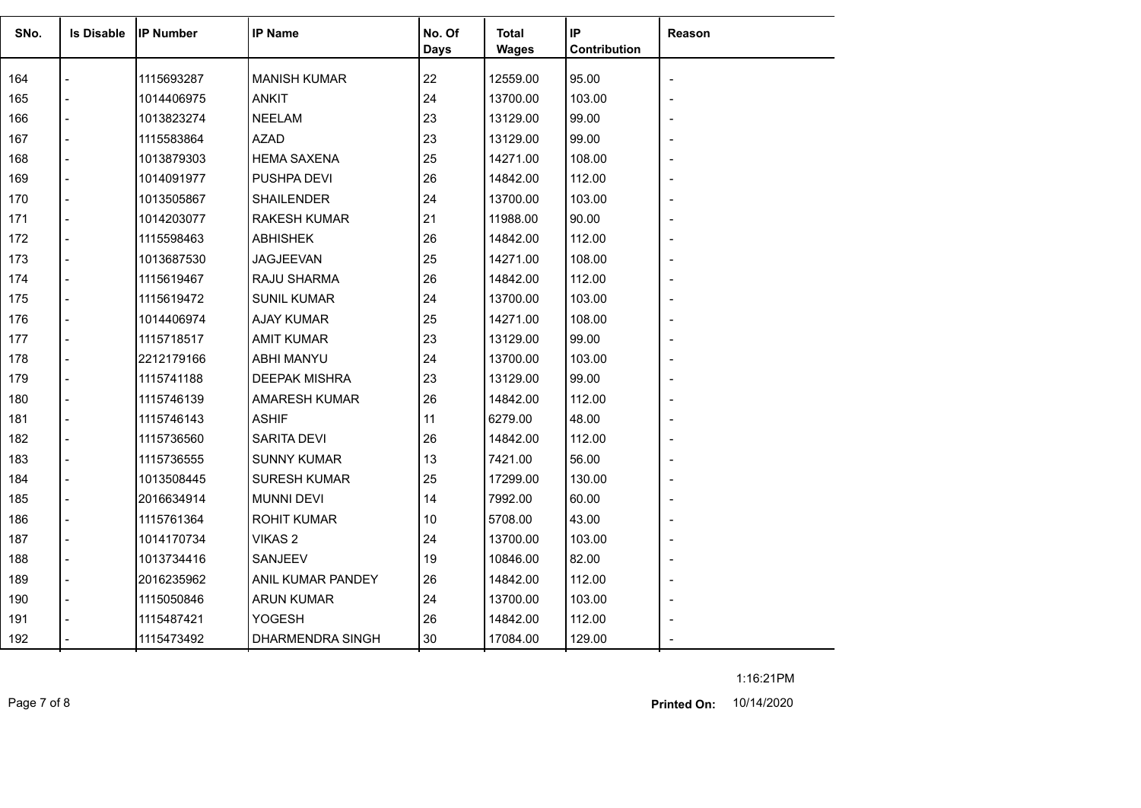| SNo. | <b>Is Disable</b> | <b>IP Number</b> | <b>IP Name</b>       | No. Of<br><b>Days</b> | Total<br><b>Wages</b> | IP<br>Contribution | Reason |
|------|-------------------|------------------|----------------------|-----------------------|-----------------------|--------------------|--------|
| 164  |                   | 1115693287       | <b>MANISH KUMAR</b>  | 22                    | 12559.00              | 95.00              |        |
| 165  |                   | 1014406975       | <b>ANKIT</b>         | 24                    | 13700.00              | 103.00             |        |
| 166  |                   | 1013823274       | <b>NEELAM</b>        | 23                    | 13129.00              | 99.00              |        |
| 167  |                   | 1115583864       | <b>AZAD</b>          | 23                    | 13129.00              | 99.00              |        |
| 168  |                   | 1013879303       | <b>HEMA SAXENA</b>   | 25                    | 14271.00              | 108.00             |        |
| 169  |                   | 1014091977       | PUSHPA DEVI          | 26                    | 14842.00              | 112.00             |        |
| 170  |                   | 1013505867       | <b>SHAILENDER</b>    | 24                    | 13700.00              | 103.00             |        |
| 171  |                   | 1014203077       | <b>RAKESH KUMAR</b>  | 21                    | 11988.00              | 90.00              |        |
| 172  |                   | 1115598463       | <b>ABHISHEK</b>      | 26                    | 14842.00              | 112.00             |        |
| 173  |                   | 1013687530       | <b>JAGJEEVAN</b>     | 25                    | 14271.00              | 108.00             |        |
| 174  |                   | 1115619467       | RAJU SHARMA          | 26                    | 14842.00              | 112.00             |        |
| 175  |                   | 1115619472       | <b>SUNIL KUMAR</b>   | 24                    | 13700.00              | 103.00             |        |
| 176  |                   | 1014406974       | <b>AJAY KUMAR</b>    | 25                    | 14271.00              | 108.00             |        |
| 177  |                   | 1115718517       | <b>AMIT KUMAR</b>    | 23                    | 13129.00              | 99.00              |        |
| 178  |                   | 2212179166       | ABHI MANYU           | 24                    | 13700.00              | 103.00             |        |
| 179  |                   | 1115741188       | DEEPAK MISHRA        | 23                    | 13129.00              | 99.00              |        |
| 180  |                   | 1115746139       | <b>AMARESH KUMAR</b> | 26                    | 14842.00              | 112.00             |        |
| 181  |                   | 1115746143       | <b>ASHIF</b>         | 11                    | 6279.00               | 48.00              |        |
| 182  |                   | 1115736560       | SARITA DEVI          | 26                    | 14842.00              | 112.00             |        |
| 183  |                   | 1115736555       | <b>SUNNY KUMAR</b>   | 13                    | 7421.00               | 56.00              |        |
| 184  |                   | 1013508445       | <b>SURESH KUMAR</b>  | 25                    | 17299.00              | 130.00             |        |
| 185  |                   | 2016634914       | <b>MUNNI DEVI</b>    | 14                    | 7992.00               | 60.00              |        |
| 186  |                   | 1115761364       | <b>ROHIT KUMAR</b>   | 10                    | 5708.00               | 43.00              |        |
| 187  |                   | 1014170734       | VIKAS <sub>2</sub>   | 24                    | 13700.00              | 103.00             |        |
| 188  |                   | 1013734416       | SANJEEV              | 19                    | 10846.00              | 82.00              |        |
| 189  |                   | 2016235962       | ANIL KUMAR PANDEY    | 26                    | 14842.00              | 112.00             |        |
| 190  |                   | 1115050846       | <b>ARUN KUMAR</b>    | 24                    | 13700.00              | 103.00             |        |
| 191  |                   | 1115487421       | YOGESH               | 26                    | 14842.00              | 112.00             |        |
| 192  |                   | 1115473492       | DHARMENDRA SINGH     | 30                    | 17084.00              | 129.00             |        |